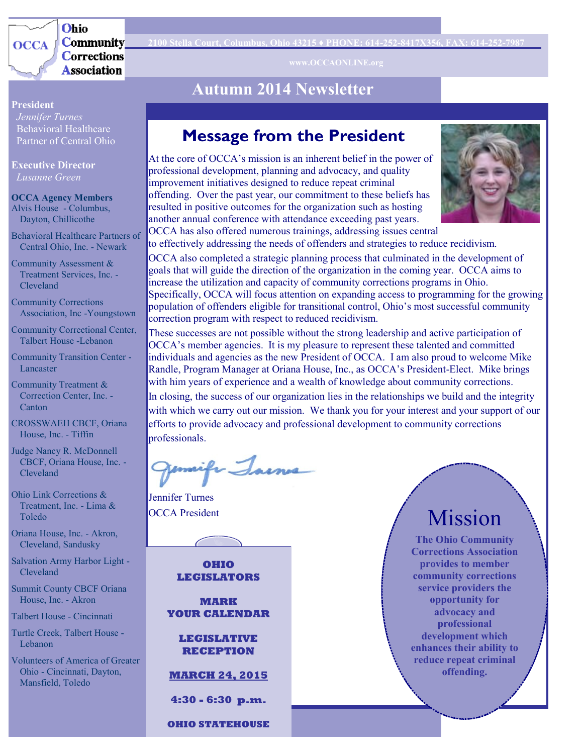

Ohio **Community Corrections Association** 

### **Autumn 2014 Newsletter**

#### **President**

 *Jennifer Turnes* Behavioral Healthcare Partner of Central Ohio

**Executive Director**  *Lusanne Green*

**OCCA Agency Members** Alvis House - Columbus, Dayton, Chillicothe

Behavioral Healthcare Partners of Central Ohio, Inc. - Newark

Community Assessment & Treatment Services, Inc. - Cleveland

Community Corrections Association, Inc -Youngstown

Community Correctional Center, Talbert House -Lebanon

Community Transition Center - Lancaster

Community Treatment & Correction Center, Inc. - Canton

CROSSWAEH CBCF, Oriana House, Inc. - Tiffin

Judge Nancy R. McDonnell CBCF, Oriana House, Inc. - Cleveland

Ohio Link Corrections & Treatment, Inc. - Lima & Toledo

Oriana House, Inc. - Akron, Cleveland, Sandusky

Salvation Army Harbor Light - Cleveland

Summit County CBCF Oriana House, Inc. - Akron

Talbert House - Cincinnati

Turtle Creek, Talbert House - Lebanon

Volunteers of America of Greater Ohio - Cincinnati, Dayton, Mansfield, Toledo

### **Message from the President**

At the core of OCCA's mission is an inherent belief in the power of professional development, planning and advocacy, and quality improvement initiatives designed to reduce repeat criminal offending. Over the past year, our commitment to these beliefs has resulted in positive outcomes for the organization such as hosting another annual conference with attendance exceeding past years. OCCA has also offered numerous trainings, addressing issues central



to effectively addressing the needs of offenders and strategies to reduce recidivism. OCCA also completed a strategic planning process that culminated in the development of goals that will guide the direction of the organization in the coming year. OCCA aims to increase the utilization and capacity of community corrections programs in Ohio. Specifically, OCCA will focus attention on expanding access to programming for the growing population of offenders eligible for transitional control, Ohio's most successful community correction program with respect to reduced recidivism.

These successes are not possible without the strong leadership and active participation of OCCA's member agencies. It is my pleasure to represent these talented and committed individuals and agencies as the new President of OCCA. I am also proud to welcome Mike Randle, Program Manager at Oriana House, Inc., as OCCA's President-Elect. Mike brings with him years of experience and a wealth of knowledge about community corrections. In closing, the success of our organization lies in the relationships we build and the integrity with which we carry out our mission. We thank you for your interest and your support of our efforts to provide advocacy and professional development to community corrections professionals.

mifr Jaines

Jennifer Turnes

**OHIO LEGISLATORS**

**MARK YOUR CALENDAR**

**LEGISLATIVE RECEPTION** 

**MARCH 24, 2015**

**4:30 - 6:30 p.m.** 

**OHIO STATEHOUSE** 

# OCCA President Mission

**The Ohio Community Corrections Association provides to member community corrections service providers the opportunity for advocacy and professional development which enhances their ability to reduce repeat criminal offending.**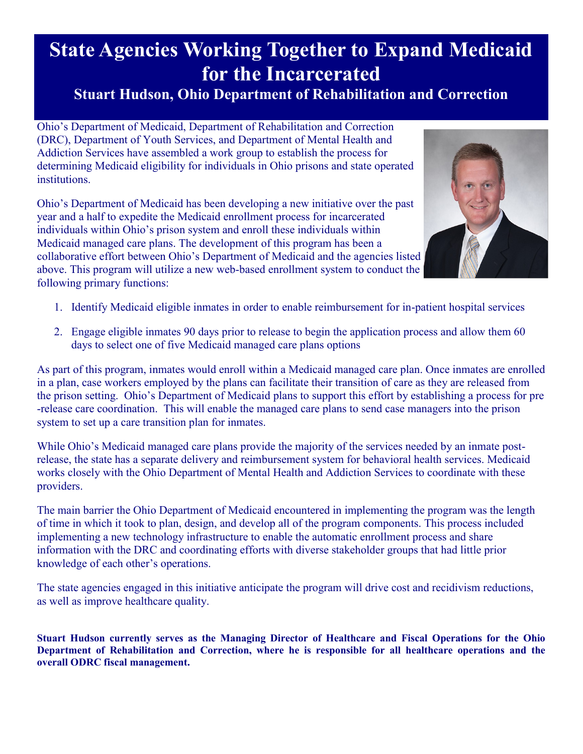# **State Agencies Working Together to Expand Medicaid for the Incarcerated**

### **Stuart Hudson, Ohio Department of Rehabilitation and Correction**

Ohio's Department of Medicaid, Department of Rehabilitation and Correction (DRC), Department of Youth Services, and Department of Mental Health and Addiction Services have assembled a work group to establish the process for determining Medicaid eligibility for individuals in Ohio prisons and state operated institutions.

Ohio's Department of Medicaid has been developing a new initiative over the past year and a half to expedite the Medicaid enrollment process for incarcerated individuals within Ohio's prison system and enroll these individuals within Medicaid managed care plans. The development of this program has been a collaborative effort between Ohio's Department of Medicaid and the agencies listed above. This program will utilize a new web-based enrollment system to conduct the following primary functions:



- 1. Identify Medicaid eligible inmates in order to enable reimbursement for in-patient hospital services
- 2. Engage eligible inmates 90 days prior to release to begin the application process and allow them 60 days to select one of five Medicaid managed care plans options

As part of this program, inmates would enroll within a Medicaid managed care plan. Once inmates are enrolled in a plan, case workers employed by the plans can facilitate their transition of care as they are released from the prison setting. Ohio's Department of Medicaid plans to support this effort by establishing a process for pre -release care coordination. This will enable the managed care plans to send case managers into the prison system to set up a care transition plan for inmates.

While Ohio's Medicaid managed care plans provide the majority of the services needed by an inmate postrelease, the state has a separate delivery and reimbursement system for behavioral health services. Medicaid works closely with the Ohio Department of Mental Health and Addiction Services to coordinate with these providers.

The main barrier the Ohio Department of Medicaid encountered in implementing the program was the length of time in which it took to plan, design, and develop all of the program components. This process included implementing a new technology infrastructure to enable the automatic enrollment process and share information with the DRC and coordinating efforts with diverse stakeholder groups that had little prior knowledge of each other's operations.

The state agencies engaged in this initiative anticipate the program will drive cost and recidivism reductions, as well as improve healthcare quality.

**Stuart Hudson currently serves as the Managing Director of Healthcare and Fiscal Operations for the Ohio Department of Rehabilitation and Correction, where he is responsible for all healthcare operations and the overall ODRC fiscal management.**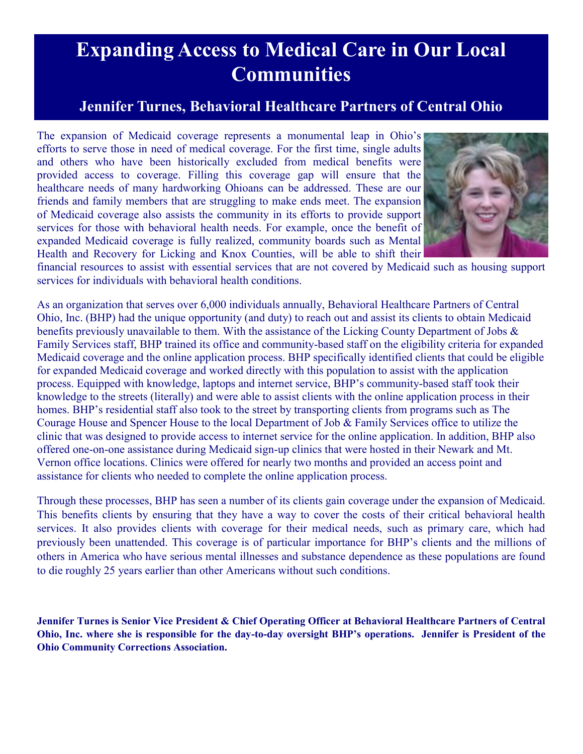# **Expanding Access to Medical Care in Our Local Communities**

### **Jennifer Turnes, Behavioral Healthcare Partners of Central Ohio**

The expansion of Medicaid coverage represents a monumental leap in Ohio's efforts to serve those in need of medical coverage. For the first time, single adults and others who have been historically excluded from medical benefits were provided access to coverage. Filling this coverage gap will ensure that the healthcare needs of many hardworking Ohioans can be addressed. These are our friends and family members that are struggling to make ends meet. The expansion of Medicaid coverage also assists the community in its efforts to provide support services for those with behavioral health needs. For example, once the benefit of expanded Medicaid coverage is fully realized, community boards such as Mental Health and Recovery for Licking and Knox Counties, will be able to shift their



financial resources to assist with essential services that are not covered by Medicaid such as housing support services for individuals with behavioral health conditions.

As an organization that serves over 6,000 individuals annually, Behavioral Healthcare Partners of Central Ohio, Inc. (BHP) had the unique opportunity (and duty) to reach out and assist its clients to obtain Medicaid benefits previously unavailable to them. With the assistance of the Licking County Department of Jobs  $\&$ Family Services staff, BHP trained its office and community-based staff on the eligibility criteria for expanded Medicaid coverage and the online application process. BHP specifically identified clients that could be eligible for expanded Medicaid coverage and worked directly with this population to assist with the application process. Equipped with knowledge, laptops and internet service, BHP's community-based staff took their knowledge to the streets (literally) and were able to assist clients with the online application process in their homes. BHP's residential staff also took to the street by transporting clients from programs such as The Courage House and Spencer House to the local Department of Job & Family Services office to utilize the clinic that was designed to provide access to internet service for the online application. In addition, BHP also offered one-on-one assistance during Medicaid sign-up clinics that were hosted in their Newark and Mt. Vernon office locations. Clinics were offered for nearly two months and provided an access point and assistance for clients who needed to complete the online application process.

Through these processes, BHP has seen a number of its clients gain coverage under the expansion of Medicaid. This benefits clients by ensuring that they have a way to cover the costs of their critical behavioral health services. It also provides clients with coverage for their medical needs, such as primary care, which had previously been unattended. This coverage is of particular importance for BHP's clients and the millions of others in America who have serious mental illnesses and substance dependence as these populations are found to die roughly 25 years earlier than other Americans without such conditions.

**Jennifer Turnes is Senior Vice President & Chief Operating Officer at Behavioral Healthcare Partners of Central Ohio, Inc. where she is responsible for the day-to-day oversight BHP's operations. Jennifer is President of the Ohio Community Corrections Association.**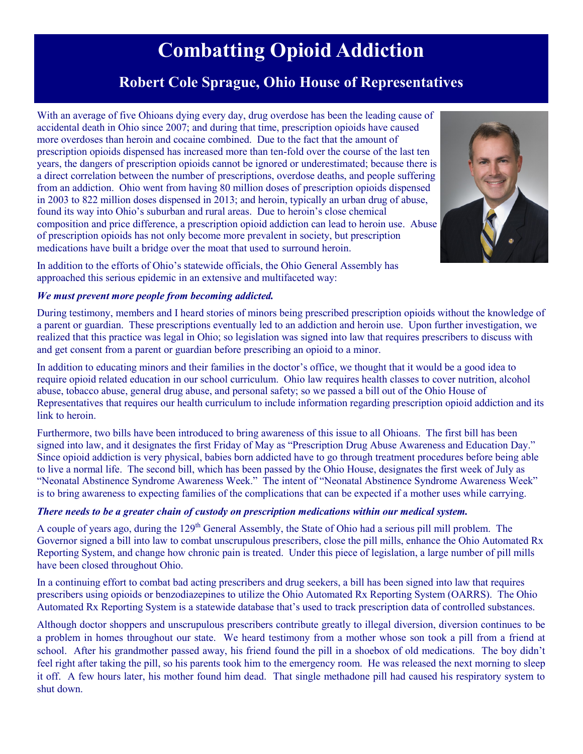# **Combatting Opioid Addiction**

### **Robert Cole Sprague, Ohio House of Representatives**

With an average of five Ohioans dying every day, drug overdose has been the leading cause of accidental death in Ohio since 2007; and during that time, prescription opioids have caused more overdoses than heroin and cocaine combined. Due to the fact that the amount of prescription opioids dispensed has increased more than ten-fold over the course of the last ten years, the dangers of prescription opioids cannot be ignored or underestimated; because there is a direct correlation between the number of prescriptions, overdose deaths, and people suffering from an addiction. Ohio went from having 80 million doses of prescription opioids dispensed in 2003 to 822 million doses dispensed in 2013; and heroin, typically an urban drug of abuse, found its way into Ohio's suburban and rural areas. Due to heroin's close chemical composition and price difference, a prescription opioid addiction can lead to heroin use. Abuse of prescription opioids has not only become more prevalent in society, but prescription medications have built a bridge over the moat that used to surround heroin.



In addition to the efforts of Ohio's statewide officials, the Ohio General Assembly has approached this serious epidemic in an extensive and multifaceted way:

#### *We must prevent more people from becoming addicted.*

During testimony, members and I heard stories of minors being prescribed prescription opioids without the knowledge of a parent or guardian. These prescriptions eventually led to an addiction and heroin use. Upon further investigation, we realized that this practice was legal in Ohio; so legislation was signed into law that requires prescribers to discuss with and get consent from a parent or guardian before prescribing an opioid to a minor.

In addition to educating minors and their families in the doctor's office, we thought that it would be a good idea to require opioid related education in our school curriculum. Ohio law requires health classes to cover nutrition, alcohol abuse, tobacco abuse, general drug abuse, and personal safety; so we passed a bill out of the Ohio House of Representatives that requires our health curriculum to include information regarding prescription opioid addiction and its link to heroin.

Furthermore, two bills have been introduced to bring awareness of this issue to all Ohioans. The first bill has been signed into law, and it designates the first Friday of May as "Prescription Drug Abuse Awareness and Education Day." Since opioid addiction is very physical, babies born addicted have to go through treatment procedures before being able to live a normal life. The second bill, which has been passed by the Ohio House, designates the first week of July as "Neonatal Abstinence Syndrome Awareness Week." The intent of "Neonatal Abstinence Syndrome Awareness Week" is to bring awareness to expecting families of the complications that can be expected if a mother uses while carrying.

#### *There needs to be a greater chain of custody on prescription medications within our medical system.*

A couple of years ago, during the 129<sup>th</sup> General Assembly, the State of Ohio had a serious pill mill problem. The Governor signed a bill into law to combat unscrupulous prescribers, close the pill mills, enhance the Ohio Automated Rx Reporting System, and change how chronic pain is treated. Under this piece of legislation, a large number of pill mills have been closed throughout Ohio.

In a continuing effort to combat bad acting prescribers and drug seekers, a bill has been signed into law that requires prescribers using opioids or benzodiazepines to utilize the Ohio Automated Rx Reporting System (OARRS). The Ohio Automated Rx Reporting System is a statewide database that's used to track prescription data of controlled substances.

Although doctor shoppers and unscrupulous prescribers contribute greatly to illegal diversion, diversion continues to be a problem in homes throughout our state. We heard testimony from a mother whose son took a pill from a friend at school. After his grandmother passed away, his friend found the pill in a shoebox of old medications. The boy didn't feel right after taking the pill, so his parents took him to the emergency room. He was released the next morning to sleep it off. A few hours later, his mother found him dead. That single methadone pill had caused his respiratory system to shut down.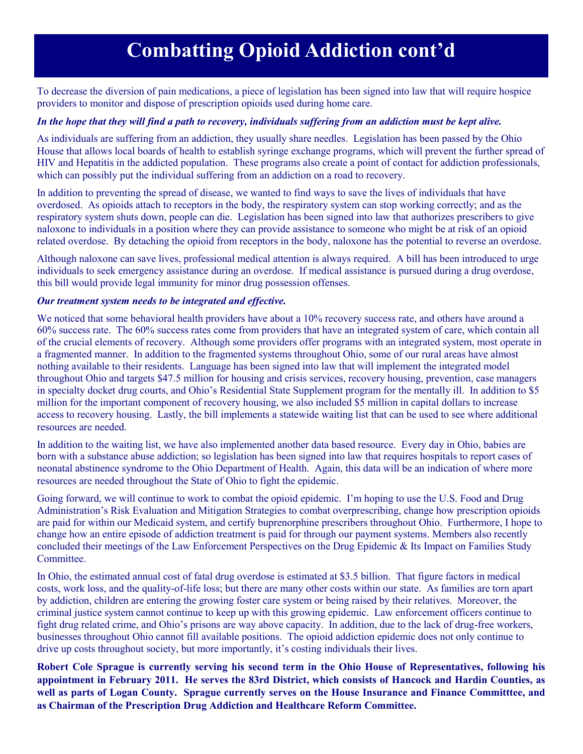# **Combatting Opioid Addiction cont'd**

To decrease the diversion of pain medications, a piece of legislation has been signed into law that will require hospice providers to monitor and dispose of prescription opioids used during home care.

#### *In the hope that they will find a path to recovery, individuals suffering from an addiction must be kept alive.*

As individuals are suffering from an addiction, they usually share needles. Legislation has been passed by the Ohio House that allows local boards of health to establish syringe exchange programs, which will prevent the further spread of HIV and Hepatitis in the addicted population. These programs also create a point of contact for addiction professionals, which can possibly put the individual suffering from an addiction on a road to recovery.

In addition to preventing the spread of disease, we wanted to find ways to save the lives of individuals that have overdosed. As opioids attach to receptors in the body, the respiratory system can stop working correctly; and as the respiratory system shuts down, people can die. Legislation has been signed into law that authorizes prescribers to give naloxone to individuals in a position where they can provide assistance to someone who might be at risk of an opioid related overdose. By detaching the opioid from receptors in the body, naloxone has the potential to reverse an overdose.

Although naloxone can save lives, professional medical attention is always required. A bill has been introduced to urge individuals to seek emergency assistance during an overdose. If medical assistance is pursued during a drug overdose, this bill would provide legal immunity for minor drug possession offenses.

#### *Our treatment system needs to be integrated and effective.*

We noticed that some behavioral health providers have about a 10% recovery success rate, and others have around a 60% success rate. The 60% success rates come from providers that have an integrated system of care, which contain all of the crucial elements of recovery. Although some providers offer programs with an integrated system, most operate in a fragmented manner. In addition to the fragmented systems throughout Ohio, some of our rural areas have almost nothing available to their residents. Language has been signed into law that will implement the integrated model throughout Ohio and targets \$47.5 million for housing and crisis services, recovery housing, prevention, case managers in specialty docket drug courts, and Ohio's Residential State Supplement program for the mentally ill. In addition to \$5 million for the important component of recovery housing, we also included \$5 million in capital dollars to increase access to recovery housing. Lastly, the bill implements a statewide waiting list that can be used to see where additional resources are needed.

In addition to the waiting list, we have also implemented another data based resource. Every day in Ohio, babies are born with a substance abuse addiction; so legislation has been signed into law that requires hospitals to report cases of neonatal abstinence syndrome to the Ohio Department of Health. Again, this data will be an indication of where more resources are needed throughout the State of Ohio to fight the epidemic.

Going forward, we will continue to work to combat the opioid epidemic. I'm hoping to use the U.S. Food and Drug Administration's Risk Evaluation and Mitigation Strategies to combat overprescribing, change how prescription opioids are paid for within our Medicaid system, and certify buprenorphine prescribers throughout Ohio. Furthermore, I hope to change how an entire episode of addiction treatment is paid for through our payment systems. Members also recently concluded their meetings of the Law Enforcement Perspectives on the Drug Epidemic & Its Impact on Families Study **Committee** 

In Ohio, the estimated annual cost of fatal drug overdose is estimated at \$3.5 billion. That figure factors in medical costs, work loss, and the quality-of-life loss; but there are many other costs within our state. As families are torn apart by addiction, children are entering the growing foster care system or being raised by their relatives. Moreover, the criminal justice system cannot continue to keep up with this growing epidemic. Law enforcement officers continue to fight drug related crime, and Ohio's prisons are way above capacity. In addition, due to the lack of drug-free workers, businesses throughout Ohio cannot fill available positions. The opioid addiction epidemic does not only continue to drive up costs throughout society, but more importantly, it's costing individuals their lives.

**Robert Cole Sprague is currently serving his second term in the Ohio House of Representatives, following his appointment in February 2011. He serves the 83rd District, which consists of Hancock and Hardin Counties, as well as parts of Logan County. Sprague currently serves on the House Insurance and Finance Committtee, and as Chairman of the Prescription Drug Addiction and Healthcare Reform Committee.**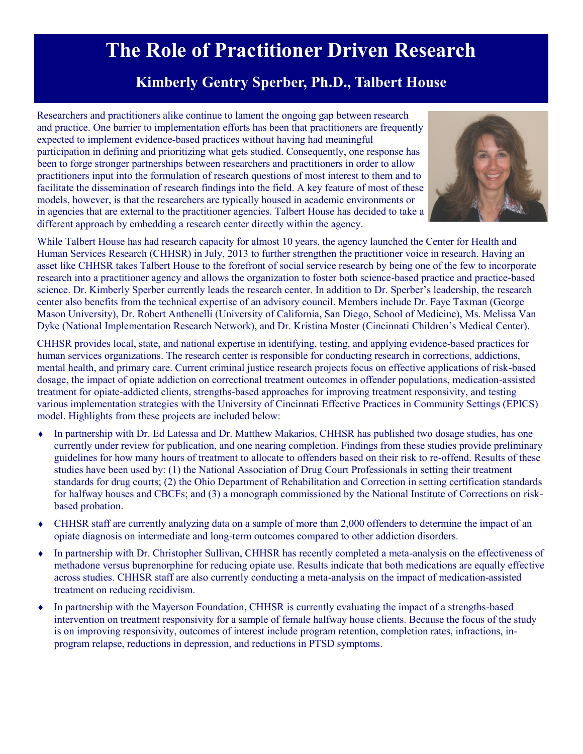## **The Role of Practitioner Driven Research**

### **Kimberly Gentry Sperber, Ph.D., Talbert House**

Researchers and practitioners alike continue to lament the ongoing gap between research and practice. One barrier to implementation efforts has been that practitioners are frequently expected to implement evidence-based practices without having had meaningful participation in defining and prioritizing what gets studied. Consequently, one response has been to forge stronger partnerships between researchers and practitioners in order to allow practitioners input into the formulation of research questions of most interest to them and to facilitate the dissemination of research findings into the field. A key feature of most of these models, however, is that the researchers are typically housed in academic environments or in agencies that are external to the practitioner agencies. Talbert House has decided to take a different approach by embedding a research center directly within the agency.



While Talbert House has had research capacity for almost 10 years, the agency launched the Center for Health and Human Services Research (CHHSR) in July, 2013 to further strengthen the practitioner voice in research. Having an asset like CHHSR takes Talbert House to the forefront of social service research by being one of the few to incorporate research into a practitioner agency and allows the organization to foster both science-based practice and practice-based science. Dr. Kimberly Sperber currently leads the research center. In addition to Dr. Sperber's leadership, the research center also benefits from the technical expertise of an advisory council. Members include Dr. Faye Taxman (George Mason University), Dr. Robert Anthenelli (University of California, San Diego, School of Medicine), Ms. Melissa Van Dyke (National Implementation Research Network), and Dr. Kristina Moster (Cincinnati Children's Medical Center).

CHHSR provides local, state, and national expertise in identifying, testing, and applying evidence-based practices for human services organizations. The research center is responsible for conducting research in corrections, addictions, mental health, and primary care. Current criminal justice research projects focus on effective applications of risk-based dosage, the impact of opiate addiction on correctional treatment outcomes in offender populations, medication-assisted treatment for opiate-addicted clients, strengths-based approaches for improving treatment responsivity, and testing various implementation strategies with the University of Cincinnati Effective Practices in Community Settings (EPICS) model. Highlights from these projects are included below:

- In partnership with Dr. Ed Latessa and Dr. Matthew Makarios, CHHSR has published two dosage studies, has one currently under review for publication, and one nearing completion. Findings from these studies provide preliminary guidelines for how many hours of treatment to allocate to offenders based on their risk to re-offend. Results of these studies have been used by: (1) the National Association of Drug Court Professionals in setting their treatment standards for drug courts; (2) the Ohio Department of Rehabilitation and Correction in setting certification standards for halfway houses and CBCFs; and (3) a monograph commissioned by the National Institute of Corrections on riskbased probation.
- CHHSR staff are currently analyzing data on a sample of more than 2,000 offenders to determine the impact of an opiate diagnosis on intermediate and long-term outcomes compared to other addiction disorders.
- In partnership with Dr. Christopher Sullivan, CHHSR has recently completed a meta-analysis on the effectiveness of methadone versus buprenorphine for reducing opiate use. Results indicate that both medications are equally effective across studies. CHHSR staff are also currently conducting a meta-analysis on the impact of medication-assisted treatment on reducing recidivism.
- In partnership with the Mayerson Foundation, CHHSR is currently evaluating the impact of a strengths-based intervention on treatment responsivity for a sample of female halfway house clients. Because the focus of the study is on improving responsivity, outcomes of interest include program retention, completion rates, infractions, inprogram relapse, reductions in depression, and reductions in PTSD symptoms.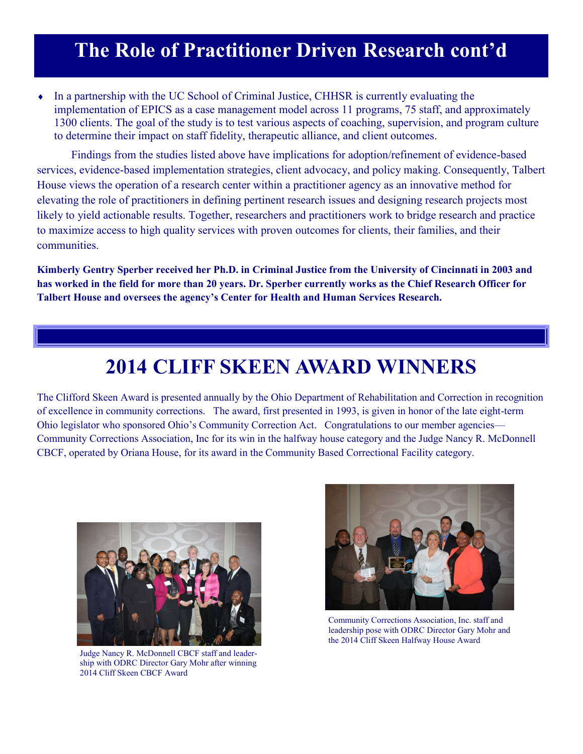## **The Role of Practitioner Driven Research cont'd**

 In a partnership with the UC School of Criminal Justice, CHHSR is currently evaluating the implementation of EPICS as a case management model across 11 programs, 75 staff, and approximately 1300 clients. The goal of the study is to test various aspects of coaching, supervision, and program culture to determine their impact on staff fidelity, therapeutic alliance, and client outcomes.

Findings from the studies listed above have implications for adoption/refinement of evidence-based services, evidence-based implementation strategies, client advocacy, and policy making. Consequently, Talbert House views the operation of a research center within a practitioner agency as an innovative method for elevating the role of practitioners in defining pertinent research issues and designing research projects most likely to yield actionable results. Together, researchers and practitioners work to bridge research and practice to maximize access to high quality services with proven outcomes for clients, their families, and their communities.

**Kimberly Gentry Sperber received her Ph.D. in Criminal Justice from the University of Cincinnati in 2003 and has worked in the field for more than 20 years. Dr. Sperber currently works as the Chief Research Officer for Talbert House and oversees the agency's Center for Health and Human Services Research.** 

## **2014 CLIFF SKEEN AWARD WINNERS**

The Clifford Skeen Award is presented annually by the Ohio Department of Rehabilitation and Correction in recognition of excellence in community corrections. The award, first presented in 1993, is given in honor of the late eight-term Ohio legislator who sponsored Ohio's Community Correction Act. Congratulations to our member agencies— Community Corrections Association, Inc for its win in the halfway house category and the Judge Nancy R. McDonnell CBCF, operated by Oriana House, for its award in the Community Based Correctional Facility category.



Judge Nancy R. McDonnell CBCF staff and leadership with ODRC Director Gary Mohr after winning 2014 Cliff Skeen CBCF Award



Community Corrections Association, Inc. staff and leadership pose with ODRC Director Gary Mohr and the 2014 Cliff Skeen Halfway House Award